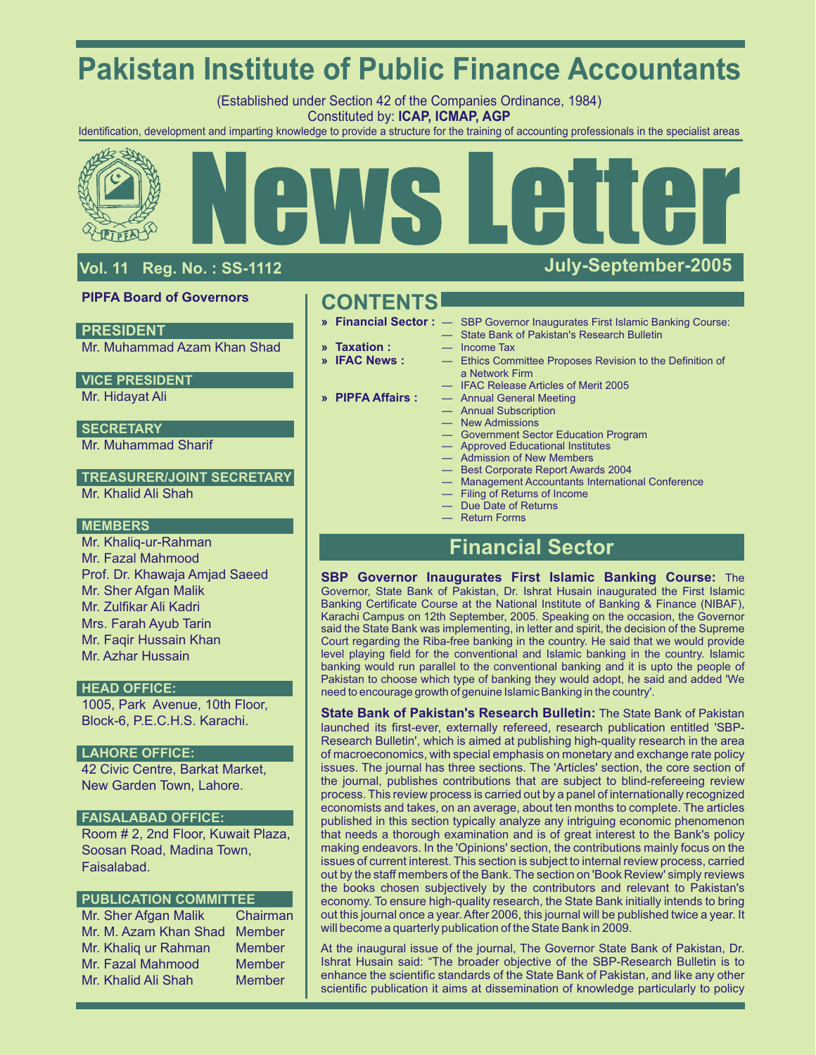# **Pakistan Institute of Public Finance Accountants**

(Established under Section 42 of the Companies Ordinance, 1984) Constituted by: **ICAP, ICMAP, AGP**

Identification, development and imparting knowledge to provide a structure for the training of accounting professionals in the specialist areas



## **Vol. 11 Reg. No. : SS-1112**

## **PIPFA Board of Governors**

## **PRESIDENT**

Mr. Muhammad Azam Khan Shad

## **VICE PRESIDENT**

Mr. Hidayat Ali

## **SECRETARY**

Mr. Muhammad Sharif

### Mr. Khalid Ali Shah **TREASURER/JOINT SECRETARY**

### **MEMBERS**

Mr. Khaliq-ur-Rahman Mr. Fazal Mahmood Prof. Dr. Khawaja Amjad Saeed Mr. Sher Afgan Malik Mr. Zulfikar Ali Kadri Mrs. Farah Ayub Tarin Mr. Fagir Hussain Khan Mr. Azhar Hussain

## **HEAD OFFICE:**

1005, Park Avenue, 10th Floor, Block-6, P.E.C.H.S. Karachi.

## **LAHORE OFFICE:**

42 Civic Centre, Barkat Market, New Garden Town, Lahore.

### **FAISALABAD OFFICE:**

Room # 2, 2nd Floor, Kuwait Plaza, Soosan Road, Madina Town, Faisalabad.

### **PUBLICATION COMMITTEE**

Mr. Sher Afgan Malik Chairman Mr. M. Azam Khan Shad Member Mr. Khaliq ur Rahman Member Mr. Fazal Mahmood Member Mr. Khalid Ali Shah Member

**CONTENTS**

- 
- 
- 
- 
- **» Financial Sector :** SBP Governor Inaugurates First Islamic Banking Course:
	- State Bank of Pakistan's Research Bulletin
	- **Taxation :** Income Tax<br> **IFAC News :** Ethics Com
- **» IFAC News :** Ethics Committee Proposes Revision to the Definition of a Network Firm
	- IFAC Release Articles of Merit 2005
- **» PIPFA Affairs :** Annual General Meeting
	- Annual Subscription
	- **New Admissions**
	- Government Sector Education Program
	- Approved Educational Institutes — Admission of New Members
	-
	- Best Corporate Report Awards 2004
	- Management Accountants International Conference
	- Filing of Returns of Income
	- Due Date of Returns
	- Return Forms

## **Financial Sector**

**SBP Governor Inaugurates First Islamic Banking Course:** The Governor, State Bank of Pakistan, Dr. Ishrat Husain inaugurated the First Islamic Banking Certificate Course at the National Institute of Banking & Finance (NIBAF), Karachi Campus on 12th September, 2005. Speaking on the occasion, the Governor said the State Bank was implementing, in letter and spirit, the decision of the Supreme Court regarding the Riba-free banking in the country. He said that we would provide level playing field for the conventional and Islamic banking in the country. Islamic banking would run parallel to the conventional banking and it is upto the people of Pakistan to choose which type of banking they would adopt, he said and added 'We need to encourage growth of genuine Islamic Banking in the country'.

**State Bank of Pakistan's Research Bulletin:** The State Bank of Pakistan launched its first-ever, externally refereed, research publication entitled 'SBP-Research Bulletin', which is aimed at publishing high-quality research in the area of macroeconomics, with special emphasis on monetary and exchange rate policy issues. The journal has three sections. The 'Articles' section, the core section of the journal, publishes contributions that are subject to blind-refereeing review process. This review process is carried out by a panel of internationally recognized economists and takes, on an average, about ten months to complete. The articles published in this section typically analyze any intriguing economic phenomenon that needs a thorough examination and is of great interest to the Bank's policy making endeavors. In the 'Opinions' section, the contributions mainly focus on the issues of current interest. This section is subject to internal review process, carried out by the staff members of the Bank. The section on 'Book Review' simply reviews the books chosen subjectively by the contributors and relevant to Pakistan's economy. To ensure high-quality research, the State Bank initially intends to bring out this journal once a year. After 2006, this journal will be published twice a year. It will become a quarterly publication of the State Bank in 2009.

At the inaugural issue of the journal, The Governor State Bank of Pakistan, Dr. Ishrat Husain said: "The broader objective of the SBP-Research Bulletin is to enhance the scientific standards of the State Bank of Pakistan, and like any other scientific publication it aims at dissemination of knowledge particularly to policy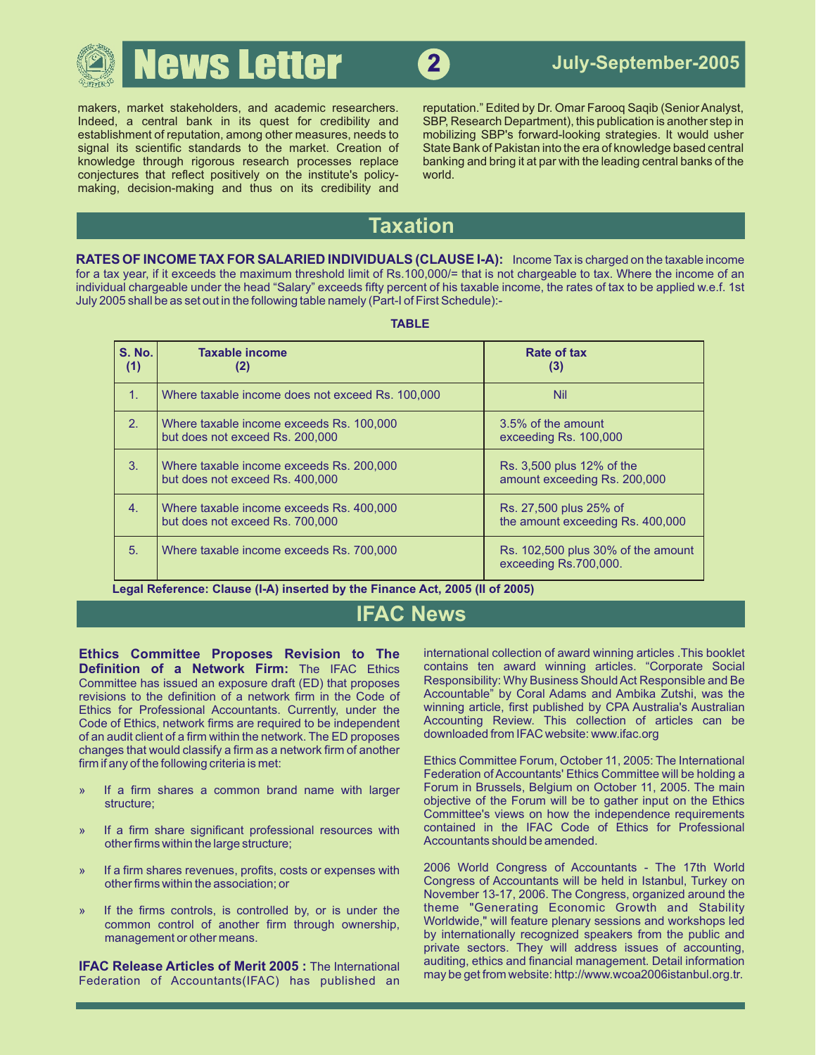

Indeed, a central bank in its quest for credibility and SBP, Research Department), this publication is another step in establishment of reputation, among other measures, needs to mobilizing SBP's forward-looking strategies signal its scientific standards to the market. Creation of State Bank of Pakistan into the era of knowledge based central<br>
knowledge through rigorous research processes replace banking and bring it at par with the leading knowledge through rigorous research processes replace conjectures that reflect positively on the institute's policy- world. making, decision-making and thus on its credibility and

makers, market stakeholders, and academic researchers. reputation." Edited by Dr. Omar Faroog Saqib (Senior Analyst, mobilizing SBP's forward-looking strategies. It would usher

## **Taxation**

**RATES OF INCOME TAX FOR SALARIED INDIVIDUALS (CLAUSE I-A):** Income Tax is charged on the taxable income for a tax year, if it exceeds the maximum threshold limit of Rs.100,000/= that is not chargeable to tax. Where the income of an individual chargeable under the head "Salary" exceeds fifty percent of his taxable income, the rates of tax to be applied w.e.f. 1st July 2005 shall be as set out in the following table namely (Part-I of First Schedule):-

| <b>S. No.</b><br>(1) | <b>Taxable income</b><br>(2)                                                | Rate of tax<br>(3)                                          |
|----------------------|-----------------------------------------------------------------------------|-------------------------------------------------------------|
| $\mathbf{1}$ .       | Where taxable income does not exceed Rs. 100,000                            | <b>Nil</b>                                                  |
| 2.                   | Where taxable income exceeds Rs. 100,000<br>but does not exceed Rs. 200,000 | 3.5% of the amount<br>exceeding Rs. 100,000                 |
| $\mathbf{3}$ .       | Where taxable income exceeds Rs. 200,000<br>but does not exceed Rs. 400,000 | Rs. 3,500 plus 12% of the<br>amount exceeding Rs. 200,000   |
| $\overline{4}$ .     | Where taxable income exceeds Rs. 400,000<br>but does not exceed Rs. 700,000 | Rs. 27,500 plus 25% of<br>the amount exceeding Rs. 400,000  |
| 5.                   | Where taxable income exceeds Rs. 700,000                                    | Rs. 102,500 plus 30% of the amount<br>exceeding Rs.700,000. |

**Legal Reference: Clause (I-A) inserted by the Finance Act, 2005 (II of 2005)**

## **IFAC News**

**Ethics Committee Proposes Revision to The** international collection of award winning articles .This booklet Committee has issued an exposure draft (ED) that proposes Responsibility: Why Business Should Act Responsible and Be<br>revisions to the definition of a network firm in the Code of Accountable" by Coral Adams and Ambika Zutsh revisions to the definition of a network firm in the Code of Coral Accountable" by Coral Adams and Ambika Zutshi, was the revisional Accountants. Currently, under the currining article, first published by CPA Australia's A Ethics for Professional Accountants. Currently, under the somining article, first published by CPA Australia's Australian for Professional Accountants. Currently, under the solutional article and the Code of Fithics networ Code of Ethics, network firms are required to be independent Accounting Review. This collection of a<br>of an audit client of a firm within the network The FD proposes downloaded from IFAC website: www.ifac.org of an audit client of a firm within the network. The ED proposes changes that would classify a firm as a network firm of another<br>firm if any of the following criteria is met:

- 
- » If a firm share significant professional resources with contained in the IFAC Code of ether firms within the large structure: other firms within the large structure;
- 
- 

Federation of Accountants(IFAC) has published an

contains ten award winning articles. "Corporate Social<br>Responsibility: Why Business Should Act Responsible and Be

Ethics Committee Forum, October 11, 2005: The International Federation of Accountants' Ethics Committee will be holding a » If a firm shares a common brand name with larger Forum in Brussels, Belgium on October 11, 2005. The main structure; objective of the Forum will be to gather input on the Ethics Committee's views on how the independence requirements contained in the IFAC Code of Ethics for Professional

» If a firm shares revenues, profits, costs or expenses with 2006 World Congress of Accountants - The 17th World other firms within the association; or **Exercise 20 Congress of Accountants will be held in Istanbul, Turkey on** November 13-17, 2006. The Congress, organized around the » If the firms controls, is controlled by, or is under the theme "Generating Economic Growth and Stability common control of another firm through ownership, Worldwide," will feature plenary sessions and workshops led management or other means. **by internationally recognized speakers from the public and** private sectors. They will address issues of accounting, **IFAC Release Articles of Merit 2005 :** The International auditing, ethics and financial management. Detail information may be get from website: http://www.wcoa2006istanbul.org.tr.

### **TABLE**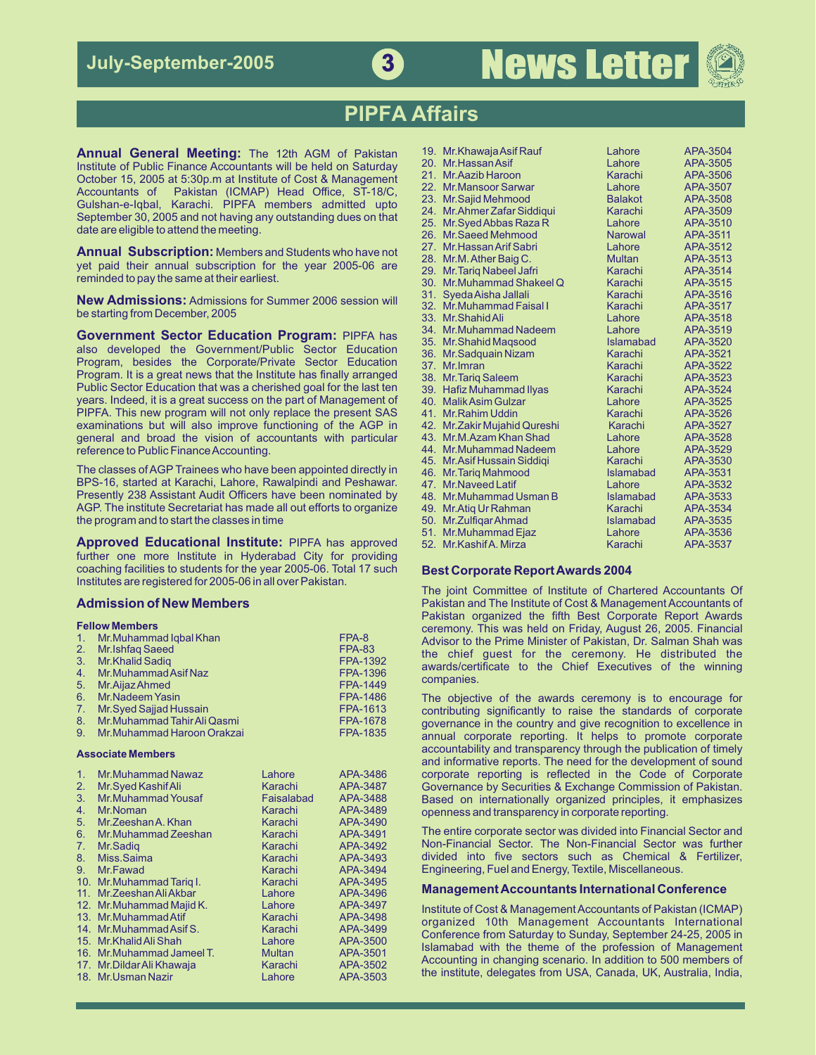

## **PIPFA Affairs**

**Annual General Meeting:** The 12th AGM of Pakistan Institute of Public Finance Accountants will be held on Saturday<br>October 15, 2005 at 5:30p.m at Institute of Cost & Management Accountants of Pakistan (ICMAP) Head Office, ST-18/C,<br>Gulshan-e-Iqbal, Karachi. PIPFA members admitted upto<br>September 30, 2005 and not having any outstanding dues on that<br>date are eligible to attend the meeting.

**Annual Subscription:** Members and Students who have not<br>yet paid their annual subscription for the year 2005-06 are<br>reminded to pay the same at their earliest.

**New Admissions:** Admissions for Summer 2006 session will be starting from December, 2005

**Government Sector Education Program:** PIPFA has also developed the Government/Public Sector Education Program, besides the Corporate/Private Sector Education Program. It is a great news that the Institute has finally arranged Public Sector Education that was a cherished goal for the last ten years. Indeed, it is a great success on the part of Management of PIPFA. This new program will not only replace the present SAS examinations but will also improve functioning of the AGP in general and broad the vision of accountants with particular reference to Public Finance Accounting.

The classes of AGP Trainees who have been appointed directly in BPS-16, started at Karachi, Lahore, Rawalpindi and Peshawar. Presently 238 Assistant Audit Officers have been nominated by AGP. The institute Secretariat has made all out efforts to organize the program and to start the classes in time

**Approved Educational Institute: PIPFA has approved** further one more Institute in Hyderabad City for providing coaching facilities to students for the year 2005-06. Total 17 such **Best Corporate Report Awards 2004** Institutes are registered for 2005-06 in all over Pakistan.

|  |                                 |                 | Celefflorly. This was field on Friday, August 20, 2005. Financial |
|--|---------------------------------|-----------------|-------------------------------------------------------------------|
|  | 1. Mr. Muhammad Igbal Khan      | FPA-8           | Advisor to the Prime Minister of Pakistan, Dr. Salman Shah was    |
|  | 2. Mr. Ishfaq Saeed             | <b>FPA-83</b>   | the chief guest for the ceremony. He distributed the              |
|  | 3. Mr. Khalid Sadig             | FPA-1392        | awards/certificate to the Chief Executives of the winning         |
|  | 4. Mr. Muhammad Asif Naz        | <b>FPA-1396</b> |                                                                   |
|  | 5. Mr. Aijaz Ahmed              | FPA-1449        | companies.                                                        |
|  | 6. Mr. Nadeem Yasin             | <b>FPA-1486</b> | The objective of the awards ceremony is to encourage for          |
|  | 7. Mr. Syed Sajjad Hussain      | FPA-1613        | contributing significantly to raise the standards of corporate    |
|  | 8. Mr. Muhammad Tahir Ali Qasmi | <b>FPA-1678</b> | governance in the country and give recognition to excellence in   |
|  | 9. Mr. Muhammad Haroon Orakzai  | <b>FPA-1835</b> | annual corporate reporting. It helps to promote corporate         |
|  |                                 |                 |                                                                   |

| $\mathbf{1}$ .  | Mr.Muhammad Nawaz          | Lahore        | APA-3486 |
|-----------------|----------------------------|---------------|----------|
| 2.              | Mr.Syed Kashif Ali         | Karachi       | APA-3487 |
| 3.              | <b>Mr.Muhammad Yousaf</b>  | Faisalabad    | APA-3488 |
| 4.              | Mr.Noman                   | Karachi       | APA-3489 |
| 5.              | Mr. Zeeshan A, Khan        | Karachi       | APA-3490 |
| 6.              | Mr.Muhammad Zeeshan        | Karachi       | APA-3491 |
| 7.              | Mr.Sadig                   | Karachi       | APA-3492 |
| 8.              | Miss.Saima                 | Karachi       | APA-3493 |
| 9.              | Mr.Fawad                   | Karachi       | APA-3494 |
| 10.             | Mr.Muhammad Tarig I.       | Karachi       | APA-3495 |
| 11 <sub>1</sub> | Mr. Zeeshan Ali Akbar      | Lahore        | APA-3496 |
|                 | 12. Mr.Muhammad Majid K.   | Lahore        | APA-3497 |
|                 | 13. Mr.Muhammad Atif       | Karachi       | APA-3498 |
|                 | 14. Mr.Muhammad Asif S.    | Karachi       | APA-3499 |
|                 | 15. Mr. Khalid Ali Shah    | Lahore        | APA-3500 |
|                 | 16. Mr. Muhammad Jameel T. | <b>Multan</b> | APA-3501 |
|                 | 17. Mr. Dildar Ali Khawaja | Karachi       | APA-3502 |
|                 | 18. Mr. Usman Nazir        | Lahore        | APA-3503 |

|     | 19. Mr. Khawaja Asif Rauf     | Lahore           | APA-3504        |
|-----|-------------------------------|------------------|-----------------|
| 20. | Mr. Hassan Asif               | Lahore           | APA-3505        |
| 21. | Mr. Aazib Haroon              | Karachi          | APA-3506        |
|     | 22. Mr. Mansoor Sarwar        | Lahore           | APA-3507        |
| 23. | Mr.Sajid Mehmood              | <b>Balakot</b>   | APA-3508        |
| 24. | Mr.Ahmer Zafar Siddiqui       | Karachi          | APA-3509        |
| 25. | Mr.Syed Abbas Raza R          | Lahore           | APA-3510        |
| 26. | <b>Mr.Saeed Mehmood</b>       | <b>Narowal</b>   | APA-3511        |
|     | 27. Mr. Hassan Arif Sabri     | Lahore           | APA-3512        |
| 28. | Mr.M. Ather Baig C.           | <b>Multan</b>    | APA-3513        |
| 29. | <b>Mr. Tariq Nabeel Jafri</b> | Karachi          | APA-3514        |
| 30. | Mr.Muhammad Shakeel Q         | Karachi          | APA-3515        |
| 31. | Syeda Aisha Jallali           | Karachi          | APA-3516        |
| 32. | Mr.Muhammad Faisal I          | Karachi          | APA-3517        |
|     | 33. Mr. Shahid Ali            | Lahore           | <b>APA-3518</b> |
| 34. | Mr.Muhammad Nadeem            | Lahore           | APA-3519        |
| 35. | <b>Mr.Shahid Magsood</b>      | Islamabad        | APA-3520        |
| 36. | Mr.Sadquain Nizam             | Karachi          | APA-3521        |
| 37. | Mr. Imran                     | Karachi          | APA-3522        |
|     | 38. Mr. Tariq Saleem          | Karachi          | APA-3523        |
|     | 39. Hafiz Muhammad Ilyas      | Karachi          | <b>APA-3524</b> |
|     | 40. Malik Asim Gulzar         | Lahore           | APA-3525        |
|     | 41. Mr. Rahim Uddin           | Karachi          | APA-3526        |
|     | 42. Mr.Zakir Mujahid Qureshi  | Karachi          | <b>APA-3527</b> |
|     | 43. Mr.M.Azam Khan Shad       | Lahore           | APA-3528        |
|     | 44. Mr. Muhammad Nadeem       | Lahore           | APA-3529        |
|     | 45. Mr. Asif Hussain Siddiqi  | Karachi          | APA-3530        |
| 46. | Mr. Tariq Mahmood             | <b>Islamabad</b> | APA-3531        |
| 47. | <b>Mr.Naveed Latif</b>        | Lahore           | APA-3532        |
| 48. | Mr.Muhammad Usman B           | <b>Islamabad</b> | APA-3533        |
| 49. | Mr. Atiq Ur Rahman            | Karachi          | APA-3534        |
|     | 50. Mr. Zulfigar Ahmad        | <b>Islamabad</b> | APA-3535        |
| 51. | Mr.Muhammad Ejaz              | Lahore           | APA-3536        |
|     | 52. Mr. Kashif A. Mirza       | Karachi          | APA-3537        |
|     |                               |                  |                 |

The joint Committee of Institute of Chartered Accountants Of **Admission of New Members Pakistan and The Institute of Cost & Management Accountants of** Pakistan organized the fifth Best Corporate Report Awards **Fellow Members** ceremony. This was held on Friday, August 26, 2005. Financial ceremony. This was held on Friday, August 26, 2005. Financial Advisor to the Prime Minister of Pakistan, Dr. Salman Shah was 2. Mr.Ishfaq Saeed FPA-83 the chief guest for the ceremony. He distributed the chief guest for the ceremony. He distributed the

The objective of the awards ceremony is to encourage for contributing significantly to raise the standards of corporate governance in the country and give recognition to excellence in annual corporate reporting. It helps to promote corporate accountability and transparency through the publication of timely accountability and transparency through the publication of timely **Associate Members** and informative reports. The need for the development of sound corporate reporting is reflected in the Code of Corporate Governance by Securities & Exchange Commission of Pakistan. Based on internationally organized principles, it emphasizes openness and transparency in corporate reporting.

> The entire corporate sector was divided into Financial Sector and Non-Financial Sector. The Non-Financial Sector was further divided into five sectors such as Chemical & Fertilizer, Engineering, Fuel and Energy, Textile, Miscellaneous.

### **Management Accountants International Conference**

Institute of Cost & Management Accountants of Pakistan (ICMAP) organized 10th Management Accountants International Conference from Saturday to Sunday, September 24-25, 2005 in Islamabad with the theme of the profession of Management Accounting in changing scenario. In addition to 500 members of the institute, delegates from USA, Canada